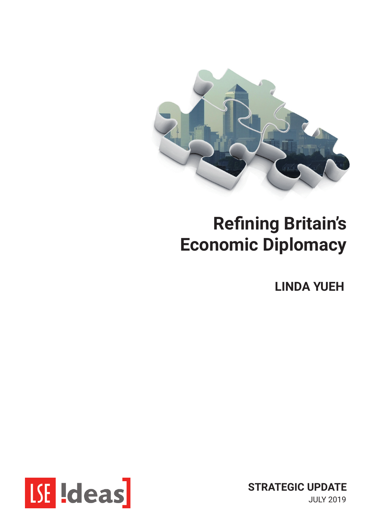

## **Refining Britain's Economic Diplomacy**

**LINDA YUEH**



**STRATEGIC UPDATE** JULY 2019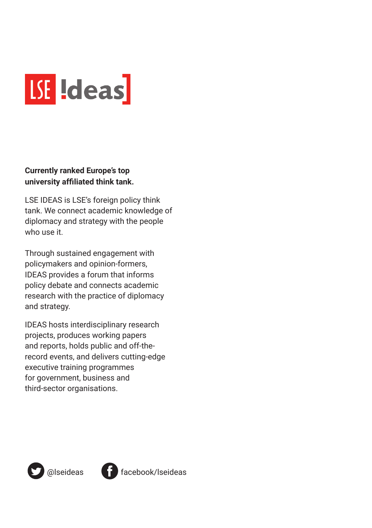

#### **Currently ranked Europe's top university affiliated think tank.**

LSE IDEAS is LSE's foreign policy think tank. We connect academic knowledge of diplomacy and strategy with the people who use it.

Through sustained engagement with policymakers and opinion-formers, IDEAS provides a forum that informs policy debate and connects academic research with the practice of diplomacy and strategy.

IDEAS hosts interdisciplinary research projects, produces working papers and reports, holds public and off-therecord events, and delivers cutting-edge executive training programmes for government, business and third-sector organisations.



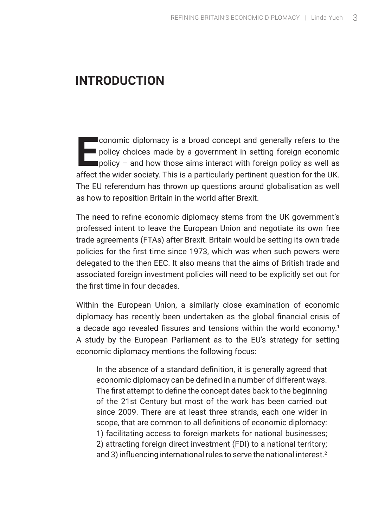### **introduction**

**E** conomic diplomacy is a broad concept and generally refers to the policy choices made by a government in setting foreign economic policy  $-$  and how those aims interact with foreign policy as well as affect the wider society. This is a particularly pertinent question for the UK. The EU referendum has thrown up questions around globalisation as well as how to reposition Britain in the world after Brexit.

The need to refine economic diplomacy stems from the UK government's professed intent to leave the European Union and negotiate its own free trade agreements (FTAs) after Brexit. Britain would be setting its own trade policies for the first time since 1973, which was when such powers were delegated to the then EEC. It also means that the aims of British trade and associated foreign investment policies will need to be explicitly set out for the first time in four decades.

Within the European Union, a similarly close examination of economic diplomacy has recently been undertaken as the global financial crisis of a decade ago revealed fissures and tensions within the world economy.<sup>1</sup> A study by the European Parliament as to the EU's strategy for setting economic diplomacy mentions the following focus:

In the absence of a standard definition, it is generally agreed that economic diplomacy can be defined in a number of different ways. The first attempt to define the concept dates back to the beginning of the 21st Century but most of the work has been carried out since 2009. There are at least three strands, each one wider in scope, that are common to all definitions of economic diplomacy: 1) facilitating access to foreign markets for national businesses; 2) attracting foreign direct investment (FDI) to a national territory; and 3) influencing international rules to serve the national interest.<sup>2</sup>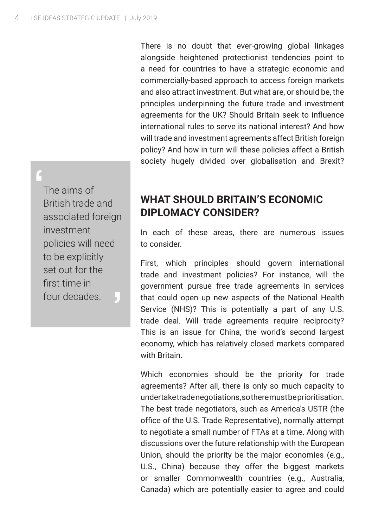There is no doubt that ever-growing global linkages alongside heightened protectionist tendencies point to a need for countries to have a strategic economic and commercially-based approach to access foreign markets and also attract investment. But what are, or should be, the principles underpinning the future trade and investment agreements for the UK? Should Britain seek to influence international rules to serve its national interest? And how will trade and investment agreements affect British foreign policy? And how in turn will these policies affect a British society hugely divided over globalisation and Brexit?

' The aims of British trade and associated foreign investment policies will need to be explicitly set out for the first time in four decades. '

#### **What should Britain's Economic Diplomacy consider?**

In each of these areas, there are numerous issues to consider.

First, which principles should govern international trade and investment policies? For instance, will the government pursue free trade agreements in services that could open up new aspects of the National Health Service (NHS)? This is potentially a part of any U.S. trade deal. Will trade agreements require reciprocity? This is an issue for China, the world's second largest economy, which has relatively closed markets compared with Britain.

Which economies should be the priority for trade agreements? After all, there is only so much capacity to undertake trade negotiations, so there must be prioritisation. The best trade negotiators, such as America's USTR (the office of the U.S. Trade Representative), normally attempt to negotiate a small number of FTAs at a time. Along with discussions over the future relationship with the European Union, should the priority be the major economies (e.g., U.S., China) because they offer the biggest markets or smaller Commonwealth countries (e.g., Australia, Canada) which are potentially easier to agree and could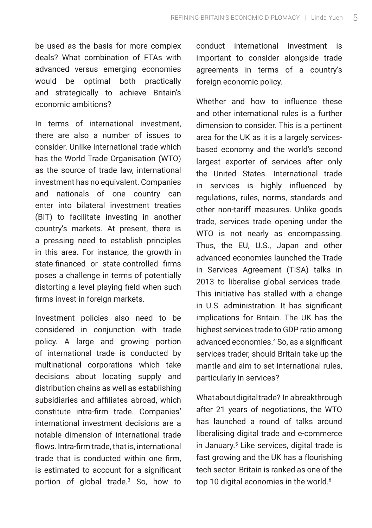be used as the basis for more complex deals? What combination of FTAs with advanced versus emerging economies would be optimal both practically and strategically to achieve Britain's economic ambitions?

In terms of international investment, there are also a number of issues to consider. Unlike international trade which has the World Trade Organisation (WTO) as the source of trade law, international investment has no equivalent. Companies and nationals of one country can enter into bilateral investment treaties (BIT) to facilitate investing in another country's markets. At present, there is a pressing need to establish principles in this area. For instance, the growth in state-financed or state-controlled firms poses a challenge in terms of potentially distorting a level playing field when such firms invest in foreign markets.

Investment policies also need to be considered in conjunction with trade policy. A large and growing portion of international trade is conducted by multinational corporations which take decisions about locating supply and distribution chains as well as establishing subsidiaries and affiliates abroad, which constitute intra-firm trade. Companies' international investment decisions are a notable dimension of international trade flows. Intra-firm trade, that is, international trade that is conducted within one firm, is estimated to account for a significant portion of global trade.<sup>3</sup> So, how to

conduct international investment is important to consider alongside trade agreements in terms of a country's foreign economic policy.

Whether and how to influence these and other international rules is a further dimension to consider. This is a pertinent area for the UK as it is a largely servicesbased economy and the world's second largest exporter of services after only the United States. International trade in services is highly influenced by regulations, rules, norms, standards and other non-tariff measures. Unlike goods trade, services trade opening under the WTO is not nearly as encompassing. Thus, the EU, U.S., Japan and other advanced economies launched the Trade in Services Agreement (TiSA) talks in 2013 to liberalise global services trade. This initiative has stalled with a change in U.S. administration. It has significant implications for Britain. The UK has the highest services trade to GDP ratio among advanced economies.4 So, as a significant services trader, should Britain take up the mantle and aim to set international rules, particularly in services?

What about digital trade? In a breakthrough after 21 years of negotiations, the WTO has launched a round of talks around liberalising digital trade and e-commerce in January.5 Like services, digital trade is fast growing and the UK has a flourishing tech sector. Britain is ranked as one of the top 10 digital economies in the world.<sup>6</sup>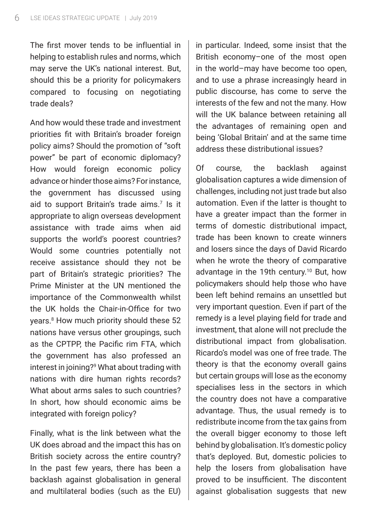The first mover tends to be influential in helping to establish rules and norms, which may serve the UK's national interest. But, should this be a priority for policymakers compared to focusing on negotiating trade deals?

And how would these trade and investment priorities fit with Britain's broader foreign policy aims? Should the promotion of "soft power" be part of economic diplomacy? How would foreign economic policy advance or hinder those aims? For instance, the government has discussed using aid to support Britain's trade aims.<sup>7</sup> Is it appropriate to align overseas development assistance with trade aims when aid supports the world's poorest countries? Would some countries potentially not receive assistance should they not be part of Britain's strategic priorities? The Prime Minister at the UN mentioned the importance of the Commonwealth whilst the UK holds the Chair-in-Office for two years.8 How much priority should these 52 nations have versus other groupings, such as the CPTPP, the Pacific rim FTA, which the government has also professed an interest in joining?9 What about trading with nations with dire human rights records? What about arms sales to such countries? In short, how should economic aims be integrated with foreign policy?

Finally, what is the link between what the UK does abroad and the impact this has on British society across the entire country? In the past few years, there has been a backlash against globalisation in general and multilateral bodies (such as the EU)

in particular. Indeed, some insist that the British economy–one of the most open in the world–may have become too open, and to use a phrase increasingly heard in public discourse, has come to serve the interests of the few and not the many. How will the UK balance between retaining all the advantages of remaining open and being 'Global Britain' and at the same time address these distributional issues?

Of course, the backlash against globalisation captures a wide dimension of challenges, including not just trade but also automation. Even if the latter is thought to have a greater impact than the former in terms of domestic distributional impact, trade has been known to create winners and losers since the days of David Ricardo when he wrote the theory of comparative advantage in the 19th century.10 But, how policymakers should help those who have been left behind remains an unsettled but very important question. Even if part of the remedy is a level playing field for trade and investment, that alone will not preclude the distributional impact from globalisation. Ricardo's model was one of free trade. The theory is that the economy overall gains but certain groups will lose as the economy specialises less in the sectors in which the country does not have a comparative advantage. Thus, the usual remedy is to redistribute income from the tax gains from the overall bigger economy to those left behind by globalisation. It's domestic policy that's deployed. But, domestic policies to help the losers from globalisation have proved to be insufficient. The discontent against globalisation suggests that new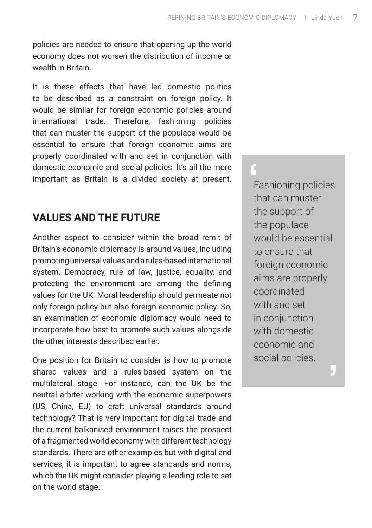policies are needed to ensure that opening up the world economy does not worsen the distribution of income or wealth in Britain.

It is these effects that have led domestic politics to be described as a constraint on foreign policy. It would be similar for foreign economic policies around international trade. Therefore, fashioning policies that can muster the support of the populace would be essential to ensure that foreign economic aims are properly coordinated with and set in conjunction with domestic economic and social policies. It's all the more important as Britain is a divided society at present.

#### **Values and the future**

Another aspect to consider within the broad remit of Britain's economic diplomacy is around values, including promoting universal values and a rules-based international system. Democracy, rule of law, justice, equality, and protecting the environment are among the defining values for the UK. Moral leadership should permeate not only foreign policy but also foreign economic policy. So, an examination of economic diplomacy would need to incorporate how best to promote such values alongside the other interests described earlier.

One position for Britain to consider is how to promote shared values and a rules-based system on the multilateral stage. For instance, can the UK be the neutral arbiter working with the economic superpowers (US, China, EU) to craft universal standards around technology? That is very important for digital trade and the current balkanised environment raises the prospect of a fragmented world economy with different technology standards. There are other examples but with digital and services, it is important to agree standards and norms, which the UK might consider playing a leading role to set on the world stage.

e<br>F<br>th Fashioning policies that can muster the support of the populace would be essential to ensure that foreign economic aims are properly coordinated with and set in conjunction with domestic economic and social policies.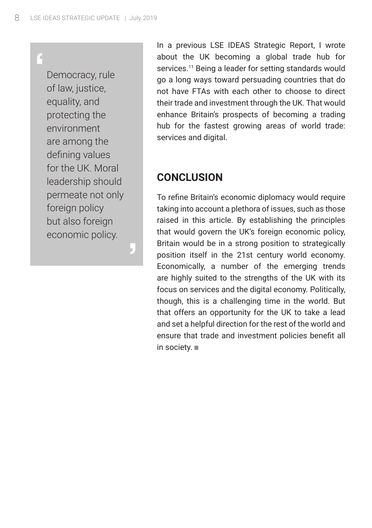# '

Democracy, rule of law, justice, equality, and protecting the environment are among the defining values for the UK. Moral leadership should permeate not only foreign policy but also foreign economic policy.

'

In a previous LSE IDEAS Strategic Report, I wrote about the UK becoming a global trade hub for services.<sup>11</sup> Being a leader for setting standards would go a long ways toward persuading countries that do not have FTAs with each other to choose to direct their trade and investment through the UK. That would enhance Britain's prospects of becoming a trading hub for the fastest growing areas of world trade: services and digital.

#### **Conclusion**

To refine Britain's economic diplomacy would require taking into account a plethora of issues, such as those raised in this article. By establishing the principles that would govern the UK's foreign economic policy, Britain would be in a strong position to strategically position itself in the 21st century world economy. Economically, a number of the emerging trends are highly suited to the strengths of the UK with its focus on services and the digital economy. Politically, though, this is a challenging time in the world. But that offers an opportunity for the UK to take a lead and set a helpful direction for the rest of the world and ensure that trade and investment policies benefit all in society.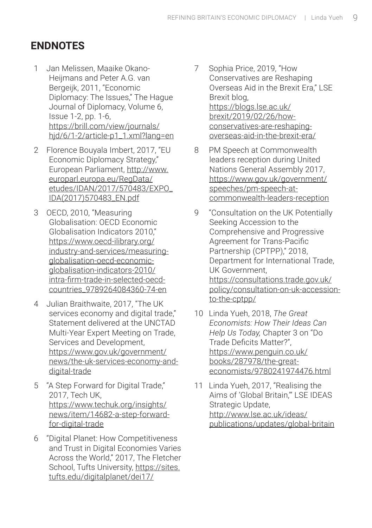#### **Endnotes**

- 1 Jan Melissen, Maaike Okano-Heijmans and Peter A.G. van Bergeijk, 2011, "Economic Diplomacy: The Issues," The Hague Journal of Diplomacy, Volume 6, Issue 1-2, pp. 1-6, https://brill.com/view/journals/ hjd/6/1-2/article-p1\_1.xml?lang=en
- 2 Florence Bouyala Imbert, 2017, "EU Economic Diplomacy Strategy," European Parliament, http://www. europarl.europa.eu/RegData/ etudes/IDAN/2017/570483/EXPO\_ IDA(2017)570483\_EN.pdf
- 3 OECD, 2010, "Measuring Globalisation: OECD Economic Globalisation Indicators 2010" https://www.oecd-ilibrary.org/ industry-and-services/measuringglobalisation-oecd-economicglobalisation-indicators-2010/ intra-firm-trade-in-selected-oecdcountries\_9789264084360-74-en
- 4 Julian Braithwaite, 2017, "The UK services economy and digital trade," Statement delivered at the UNCTAD Multi-Year Expert Meeting on Trade, Services and Development, https://www.gov.uk/government/ news/the-uk-services-economy-anddigital-trade
- 5 "A Step Forward for Digital Trade," 2017, Tech UK, https://www.techuk.org/insights/ news/item/14682-a-step-forwardfor-digital-trade
- 6 "Digital Planet: How Competitiveness and Trust in Digital Economies Varies Across the World," 2017, The Fletcher School, Tufts University, https://sites. tufts.edu/digitalplanet/dei17/
- 7 Sophia Price, 2019, "How Conservatives are Reshaping Overseas Aid in the Brexit Era," LSE Brexit blog, https://blogs.lse.ac.uk/ brexit/2019/02/26/howconservatives-are-reshapingoverseas-aid-in-the-brexit-era/
- 8 PM Speech at Commonwealth leaders reception during United Nations General Assembly 2017, https://www.gov.uk/government/ speeches/pm-speech-atcommonwealth-leaders-reception
- 9 "Consultation on the UK Potentially Seeking Accession to the Comprehensive and Progressive Agreement for Trans-Pacific Partnership (CPTPP)," 2018, Department for International Trade, UK Government, https://consultations.trade.gov.uk/ policy/consultation-on-uk-accessionto-the-cptpp/
- 10 Linda Yueh, 2018, *The Great Economists: How Their Ideas Can Help Us Today,* Chapter 3 on "Do Trade Deficits Matter?", https://www.penguin.co.uk/ books/287978/the-greateconomists/9780241974476.html
- 11 Linda Yueh, 2017, "Realising the Aims of 'Global Britain,'" LSE IDEAS Strategic Update, http://www.lse.ac.uk/ideas/ publications/updates/global-britain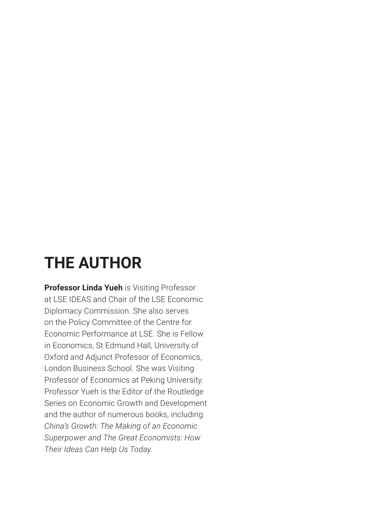## **THE AUTHOR**

**Professor Linda Yueh** is Visiting Professor at LSE IDEAS and Chair of the LSE Economic Diplomacy Commission. She also serves on the Policy Committee of the Centre for Economic Performance at LSE. She is Fellow in Economics, St Edmund Hall, University of Oxford and Adjunct Professor of Economics, London Business School. She was Visiting Professor of Economics at Peking University. Professor Yueh is the Editor of the Routledge Series on Economic Growth and Development and the author of numerous books, including *China's Growth: The Making of an Economic Superpower and The Great Economists: How Their Ideas Can Help Us Today.*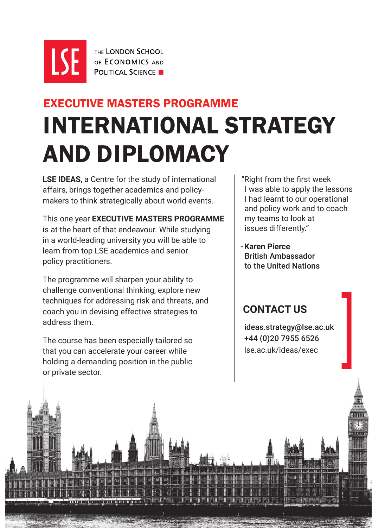

THE LONDON SCHOOL OF **FCONOMICS** AND **POLITICAL SCIENCE** 

## INTERNATIONAL STRATEGY AND DIPLOMACY EXECUTIVE MASTERS PROGRAMME

**LSE IDEAS**, a Centre for the study of international affairs, brings together academics and policymakers to think strategically about world events.

This one year **EXECUTIVE MASTERS PROGRAMME** is at the heart of that endeavour. While studying in a world-leading university you will be able to learn from top LSE academics and senior policy practitioners.

The programme will sharpen your ability to challenge conventional thinking, explore new techniques for addressing risk and threats, and coach you in devising effective strategies to address them.

The course has been especially tailored so that you can accelerate your career while holding a demanding position in the public or private sector.

 "Right from the first week I was able to apply the lessons I had learnt to our operational and policy work and to coach my teams to look at issues differently."

- **Karen Pierce** British Ambassador to the United Nations

#### **CONTACT US**

 ideas.strategy@lse.ac.uk +44 (0)20 7955 6526 ideas.strategy@lse.ac.uk<br>+44 (0)20 7955 6526<br>lse.ac.uk/ideas/exec